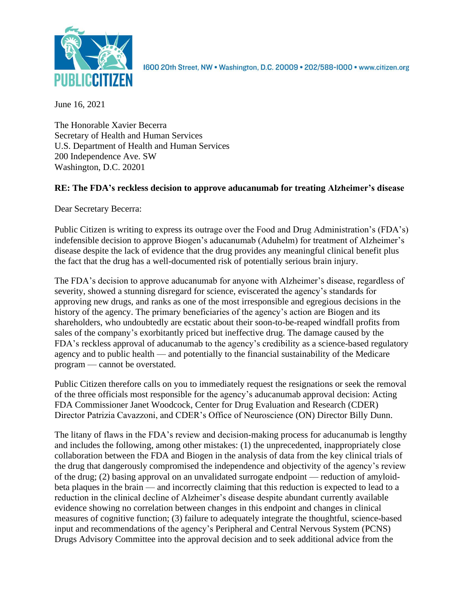

1600 20th Street, NW . Washington, D.C. 20009 . 202/588-1000 . www.citizen.org

June 16, 2021

The Honorable Xavier Becerra Secretary of Health and Human Services U.S. Department of Health and Human Services 200 Independence Ave. SW Washington, D.C. 20201

# **RE: The FDA's reckless decision to approve aducanumab for treating Alzheimer's disease**

Dear Secretary Becerra:

Public Citizen is writing to express its outrage over the Food and Drug Administration's (FDA's) indefensible decision to approve Biogen's aducanumab (Aduhelm) for treatment of Alzheimer's disease despite the lack of evidence that the drug provides any meaningful clinical benefit plus the fact that the drug has a well-documented risk of potentially serious brain injury.

The FDA's decision to approve aducanumab for anyone with Alzheimer's disease, regardless of severity, showed a stunning disregard for science, eviscerated the agency's standards for approving new drugs, and ranks as one of the most irresponsible and egregious decisions in the history of the agency. The primary beneficiaries of the agency's action are Biogen and its shareholders, who undoubtedly are ecstatic about their soon-to-be-reaped windfall profits from sales of the company's exorbitantly priced but ineffective drug. The damage caused by the FDA's reckless approval of aducanumab to the agency's credibility as a science-based regulatory agency and to public health — and potentially to the financial sustainability of the Medicare program — cannot be overstated.

Public Citizen therefore calls on you to immediately request the resignations or seek the removal of the three officials most responsible for the agency's aducanumab approval decision: Acting FDA Commissioner Janet Woodcock, Center for Drug Evaluation and Research (CDER) Director Patrizia Cavazzoni, and CDER's Office of Neuroscience (ON) Director Billy Dunn.

The litany of flaws in the FDA's review and decision-making process for aducanumab is lengthy and includes the following, among other mistakes: (1) the unprecedented, inappropriately close collaboration between the FDA and Biogen in the analysis of data from the key clinical trials of the drug that dangerously compromised the independence and objectivity of the agency's review of the drug; (2) basing approval on an unvalidated surrogate endpoint — reduction of amyloidbeta plaques in the brain — and incorrectly claiming that this reduction is expected to lead to a reduction in the clinical decline of Alzheimer's disease despite abundant currently available evidence showing no correlation between changes in this endpoint and changes in clinical measures of cognitive function; (3) failure to adequately integrate the thoughtful, science-based input and recommendations of the agency's Peripheral and Central Nervous System (PCNS) Drugs Advisory Committee into the approval decision and to seek additional advice from the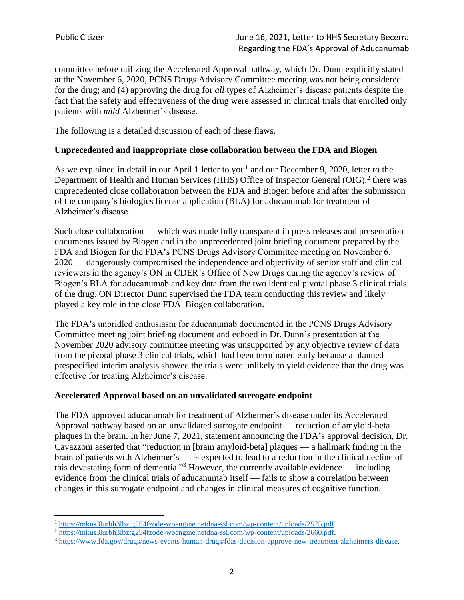committee before utilizing the Accelerated Approval pathway, which Dr. Dunn explicitly stated at the November 6, 2020, PCNS Drugs Advisory Committee meeting was not being considered for the drug; and (4) approving the drug for *all* types of Alzheimer's disease patients despite the fact that the safety and effectiveness of the drug were assessed in clinical trials that enrolled only patients with *mild* Alzheimer's disease.

The following is a detailed discussion of each of these flaws.

### **Unprecedented and inappropriate close collaboration between the FDA and Biogen**

As we explained in detail in our April 1 letter to you<sup>1</sup> and our December 9, 2020, letter to the Department of Health and Human Services (HHS) Office of Inspector General (OIG),<sup>2</sup> there was unprecedented close collaboration between the FDA and Biogen before and after the submission of the company's biologics license application (BLA) for aducanumab for treatment of Alzheimer's disease.

Such close collaboration — which was made fully transparent in press releases and presentation documents issued by Biogen and in the unprecedented joint briefing document prepared by the FDA and Biogen for the FDA's PCNS Drugs Advisory Committee meeting on November 6, 2020 — dangerously compromised the independence and objectivity of senior staff and clinical reviewers in the agency's ON in CDER's Office of New Drugs during the agency's review of Biogen's BLA for aducanumab and key data from the two identical pivotal phase 3 clinical trials of the drug. ON Director Dunn supervised the FDA team conducting this review and likely played a key role in the close FDA–Biogen collaboration.

The FDA's unbridled enthusiasm for aducanumab documented in the PCNS Drugs Advisory Committee meeting joint briefing document and echoed in Dr. Dunn's presentation at the November 2020 advisory committee meeting was unsupported by any objective review of data from the pivotal phase 3 clinical trials, which had been terminated early because a planned prespecified interim analysis showed the trials were unlikely to yield evidence that the drug was effective for treating Alzheimer's disease.

# **Accelerated Approval based on an unvalidated surrogate endpoint**

The FDA approved aducanumab for treatment of Alzheimer's disease under its Accelerated Approval pathway based on an unvalidated surrogate endpoint — reduction of amyloid-beta plaques in the brain. In her June 7, 2021, statement announcing the FDA's approval decision, Dr. Cavazzoni asserted that "reduction in [brain amyloid-beta] plaques — a hallmark finding in the brain of patients with Alzheimer's — is expected to lead to a reduction in the clinical decline of this devastating form of dementia."<sup>3</sup> However, the currently available evidence — including evidence from the clinical trials of aducanumab itself — fails to show a correlation between changes in this surrogate endpoint and changes in clinical measures of cognitive function.

<sup>1</sup> [https://mkus3lurbh3lbztg254fzode-wpengine.netdna-ssl.com/wp-content/uploads/2575.pdf.](https://mkus3lurbh3lbztg254fzode-wpengine.netdna-ssl.com/wp-content/uploads/2575.pdf)

<sup>2</sup> [https://mkus3lurbh3lbztg254fzode-wpengine.netdna-ssl.com/wp-content/uploads/2660.pdf.](https://mkus3lurbh3lbztg254fzode-wpengine.netdna-ssl.com/wp-content/uploads/2660.pdf)

<sup>&</sup>lt;sup>3</sup> [https://www.fda.gov/drugs/news-events-human-drugs/fdas-decision-approve-new-treatment-alzheimers-disease.](https://www.fda.gov/drugs/news-events-human-drugs/fdas-decision-approve-new-treatment-alzheimers-disease)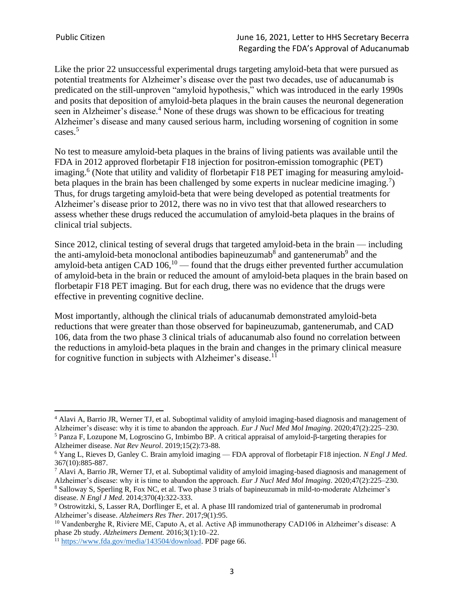Like the prior 22 unsuccessful experimental drugs targeting amyloid-beta that were pursued as potential treatments for Alzheimer's disease over the past two decades, use of aducanumab is predicated on the still-unproven "amyloid hypothesis," which was introduced in the early 1990s and posits that deposition of amyloid-beta plaques in the brain causes the neuronal degeneration seen in Alzheimer's disease.<sup>4</sup> None of these drugs was shown to be efficacious for treating Alzheimer's disease and many caused serious harm, including worsening of cognition in some cases. 5

No test to measure amyloid-beta plaques in the brains of living patients was available until the FDA in 2012 approved florbetapir F18 injection for positron-emission tomographic (PET) imaging.<sup>6</sup> (Note that utility and validity of florbetapir F18 PET imaging for measuring amyloidbeta plaques in the brain has been challenged by some experts in nuclear medicine imaging.<sup>7</sup>) Thus, for drugs targeting amyloid-beta that were being developed as potential treatments for Alzheimer's disease prior to 2012, there was no in vivo test that that allowed researchers to assess whether these drugs reduced the accumulation of amyloid-beta plaques in the brains of clinical trial subjects.

Since 2012, clinical testing of several drugs that targeted amyloid-beta in the brain — including the anti-amyloid-beta monoclonal antibodies bapineuzumab<sup>8</sup> and gantenerumab<sup>9</sup> and the amyloid-beta antigen CAD  $106$ ,  $^{10}$  — found that the drugs either prevented further accumulation of amyloid-beta in the brain or reduced the amount of amyloid-beta plaques in the brain based on florbetapir F18 PET imaging. But for each drug, there was no evidence that the drugs were effective in preventing cognitive decline.

Most importantly, although the clinical trials of aducanumab demonstrated amyloid-beta reductions that were greater than those observed for bapineuzumab, gantenerumab, and CAD 106, data from the two phase 3 clinical trials of aducanumab also found no correlation between the reductions in amyloid-beta plaques in the brain and changes in the primary clinical measure for cognitive function in subjects with Alzheimer's disease.<sup>11</sup>

<sup>4</sup> Alavi A, Barrio JR, Werner TJ, et al. Suboptimal validity of amyloid imaging-based diagnosis and management of Alzheimer's disease: why it is time to abandon the approach. *Eur J Nucl Med Mol Imaging*. 2020;47(2):225–230. <sup>5</sup> Panza F, Lozupone M, Logroscino G, Imbimbo BP. A critical appraisal of amyloid-β-targeting therapies for

Alzheimer disease. *Nat Rev Neurol*. 2019;15(2):73-88.

<sup>6</sup> Yang L, Rieves D, Ganley C. Brain amyloid imaging — FDA approval of florbetapir F18 injection. *N Engl J Med*. 367(10):885-887.

 $^7$  Alavi A, Barrio JR, Werner TJ, et al. Suboptimal validity of amyloid imaging-based diagnosis and management of Alzheimer's disease: why it is time to abandon the approach. *Eur J Nucl Med Mol Imaging*. 2020;47(2):225–230.

<sup>8</sup> Salloway S, Sperling R, Fox NC, et al. Two phase 3 trials of bapineuzumab in mild-to-moderate Alzheimer's disease. *N Engl J Med*. 2014;370(4):322-333.

<sup>9</sup> Ostrowitzki, S, Lasser RA, Dorflinger E, et al. A phase III randomized trial of gantenerumab in prodromal Alzheimer's disease. *Alzheimers Res Ther*. 2017;9(1):95.

<sup>&</sup>lt;sup>10</sup> Vandenberghe R, Riviere ME, Caputo A, et al. Active  $\rm{A}\beta$  immunotherapy CAD106 in Alzheimer's disease: A phase 2b study. *Alzheimers Dement.* 2016;3(1):10–22.

<sup>&</sup>lt;sup>11</sup> [https://www.fda.gov/media/143504/download.](https://www.fda.gov/media/143504/download) PDF page 66.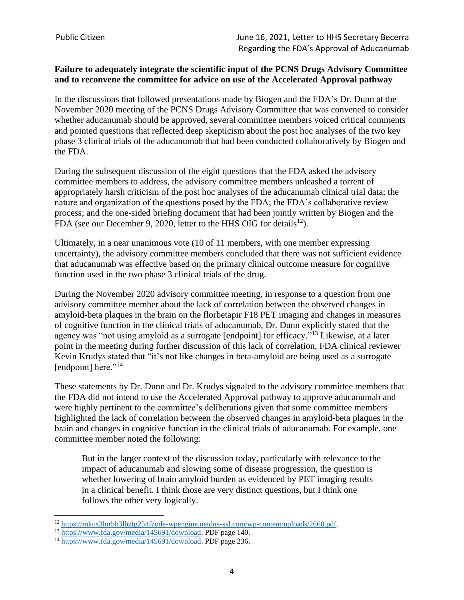# **Failure to adequately integrate the scientific input of the PCNS Drugs Advisory Committee and to reconvene the committee for advice on use of the Accelerated Approval pathway**

In the discussions that followed presentations made by Biogen and the FDA's Dr. Dunn at the November 2020 meeting of the PCNS Drugs Advisory Committee that was convened to consider whether aducanumab should be approved, several committee members voiced critical comments and pointed questions that reflected deep skepticism about the post hoc analyses of the two key phase 3 clinical trials of the aducanumab that had been conducted collaboratively by Biogen and the FDA.

During the subsequent discussion of the eight questions that the FDA asked the advisory committee members to address, the advisory committee members unleashed a torrent of appropriately harsh criticism of the post hoc analyses of the aducanumab clinical trial data; the nature and organization of the questions posed by the FDA; the FDA's collaborative review process; and the one-sided briefing document that had been jointly written by Biogen and the FDA (see our December 9, 2020, letter to the HHS OIG for details<sup>12</sup>).

Ultimately, in a near unanimous vote (10 of 11 members, with one member expressing uncertainty), the advisory committee members concluded that there was not sufficient evidence that aducanumab was effective based on the primary clinical outcome measure for cognitive function used in the two phase 3 clinical trials of the drug.

During the November 2020 advisory committee meeting, in response to a question from one advisory committee member about the lack of correlation between the observed changes in amyloid-beta plaques in the brain on the florbetapir F18 PET imaging and changes in measures of cognitive function in the clinical trials of aducanumab, Dr. Dunn explicitly stated that the agency was "not using amyloid as a surrogate [endpoint] for efficacy."<sup>13</sup> Likewise, at a later point in the meeting during further discussion of this lack of correlation, FDA clinical reviewer Kevin Krudys stated that "it's not like changes in beta-amyloid are being used as a surrogate [endpoint] here."<sup>14</sup>

These statements by Dr. Dunn and Dr. Krudys signaled to the advisory committee members that the FDA did not intend to use the Accelerated Approval pathway to approve aducanumab and were highly pertinent to the committee's deliberations given that some committee members highlighted the lack of correlation between the observed changes in amyloid-beta plaques in the brain and changes in cognitive function in the clinical trials of aducanumab. For example, one committee member noted the following:

But in the larger context of the discussion today, particularly with relevance to the impact of aducanumab and slowing some of disease progression, the question is whether lowering of brain amyloid burden as evidenced by PET imaging results in a clinical benefit. I think those are very distinct questions, but I think one follows the other very logically.

<sup>12</sup> [https://mkus3lurbh3lbztg254fzode-wpengine.netdna-ssl.com/wp-content/uploads/2660.pdf.](https://mkus3lurbh3lbztg254fzode-wpengine.netdna-ssl.com/wp-content/uploads/2660.pdf)

<sup>13</sup> [https://www.fda.gov/media/145691/download.](https://www.fda.gov/media/145691/download) PDF page 140.

<sup>14</sup> [https://www.fda.gov/media/145691/download.](https://www.fda.gov/media/145691/download) PDF page 236.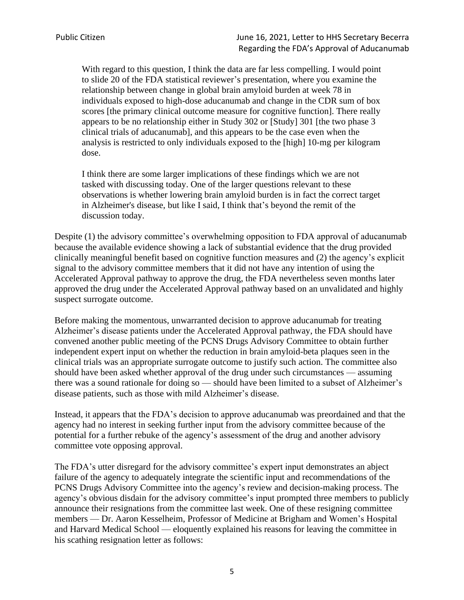With regard to this question, I think the data are far less compelling. I would point to slide 20 of the FDA statistical reviewer's presentation, where you examine the relationship between change in global brain amyloid burden at week 78 in individuals exposed to high-dose aducanumab and change in the CDR sum of box scores [the primary clinical outcome measure for cognitive function]. There really appears to be no relationship either in Study 302 or [Study] 301 [the two phase 3 clinical trials of aducanumab], and this appears to be the case even when the analysis is restricted to only individuals exposed to the [high] 10-mg per kilogram dose.

I think there are some larger implications of these findings which we are not tasked with discussing today. One of the larger questions relevant to these observations is whether lowering brain amyloid burden is in fact the correct target in Alzheimer's disease, but like I said, I think that's beyond the remit of the discussion today.

Despite (1) the advisory committee's overwhelming opposition to FDA approval of aducanumab because the available evidence showing a lack of substantial evidence that the drug provided clinically meaningful benefit based on cognitive function measures and (2) the agency's explicit signal to the advisory committee members that it did not have any intention of using the Accelerated Approval pathway to approve the drug, the FDA nevertheless seven months later approved the drug under the Accelerated Approval pathway based on an unvalidated and highly suspect surrogate outcome.

Before making the momentous, unwarranted decision to approve aducanumab for treating Alzheimer's disease patients under the Accelerated Approval pathway, the FDA should have convened another public meeting of the PCNS Drugs Advisory Committee to obtain further independent expert input on whether the reduction in brain amyloid-beta plaques seen in the clinical trials was an appropriate surrogate outcome to justify such action. The committee also should have been asked whether approval of the drug under such circumstances — assuming there was a sound rationale for doing so — should have been limited to a subset of Alzheimer's disease patients, such as those with mild Alzheimer's disease.

Instead, it appears that the FDA's decision to approve aducanumab was preordained and that the agency had no interest in seeking further input from the advisory committee because of the potential for a further rebuke of the agency's assessment of the drug and another advisory committee vote opposing approval.

The FDA's utter disregard for the advisory committee's expert input demonstrates an abject failure of the agency to adequately integrate the scientific input and recommendations of the PCNS Drugs Advisory Committee into the agency's review and decision-making process. The agency's obvious disdain for the advisory committee's input prompted three members to publicly announce their resignations from the committee last week. One of these resigning committee members — Dr. Aaron Kesselheim, Professor of Medicine at Brigham and Women's Hospital and Harvard Medical School — eloquently explained his reasons for leaving the committee in his scathing resignation letter as follows: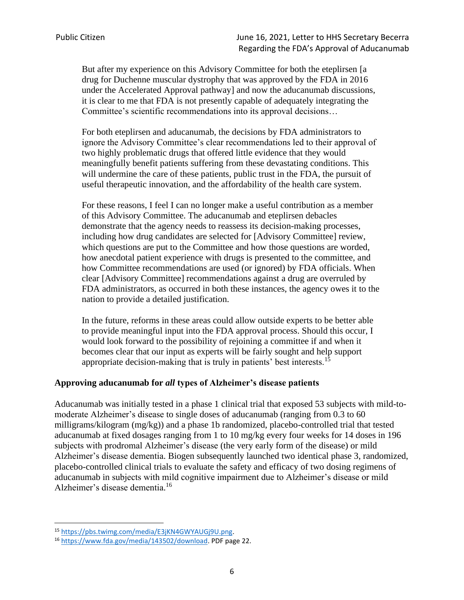But after my experience on this Advisory Committee for both the eteplirsen [a drug for Duchenne muscular dystrophy that was approved by the FDA in 2016 under the Accelerated Approval pathway] and now the aducanumab discussions, it is clear to me that FDA is not presently capable of adequately integrating the Committee's scientific recommendations into its approval decisions…

For both eteplirsen and aducanumab, the decisions by FDA administrators to ignore the Advisory Committee's clear recommendations led to their approval of two highly problematic drugs that offered little evidence that they would meaningfully benefit patients suffering from these devastating conditions. This will undermine the care of these patients, public trust in the FDA, the pursuit of useful therapeutic innovation, and the affordability of the health care system.

For these reasons, I feel I can no longer make a useful contribution as a member of this Advisory Committee. The aducanumab and eteplirsen debacles demonstrate that the agency needs to reassess its decision-making processes, including how drug candidates are selected for [Advisory Committee] review, which questions are put to the Committee and how those questions are worded, how anecdotal patient experience with drugs is presented to the committee, and how Committee recommendations are used (or ignored) by FDA officials. When clear [Advisory Committee] recommendations against a drug are overruled by FDA administrators, as occurred in both these instances, the agency owes it to the nation to provide a detailed justification.

In the future, reforms in these areas could allow outside experts to be better able to provide meaningful input into the FDA approval process. Should this occur, I would look forward to the possibility of rejoining a committee if and when it becomes clear that our input as experts will be fairly sought and help support appropriate decision-making that is truly in patients' best interests.<sup>15</sup>

#### **Approving aducanumab for** *all* **types of Alzheimer's disease patients**

Aducanumab was initially tested in a phase 1 clinical trial that exposed 53 subjects with mild-tomoderate Alzheimer's disease to single doses of aducanumab (ranging from 0.3 to 60 milligrams/kilogram (mg/kg)) and a phase 1b randomized, placebo-controlled trial that tested aducanumab at fixed dosages ranging from 1 to 10 mg/kg every four weeks for 14 doses in 196 subjects with prodromal Alzheimer's disease (the very early form of the disease) or mild Alzheimer's disease dementia. Biogen subsequently launched two identical phase 3, randomized, placebo-controlled clinical trials to evaluate the safety and efficacy of two dosing regimens of aducanumab in subjects with mild cognitive impairment due to Alzheimer's disease or mild Alzheimer's disease dementia. 16

<sup>15</sup> [https://pbs.twimg.com/media/E3jKN4GWYAUGj9U.png.](https://pbs.twimg.com/media/E3jKN4GWYAUGj9U.png)

<sup>16</sup> [https://www.fda.gov/media/143502/download.](https://www.fda.gov/media/143502/download) PDF page 22.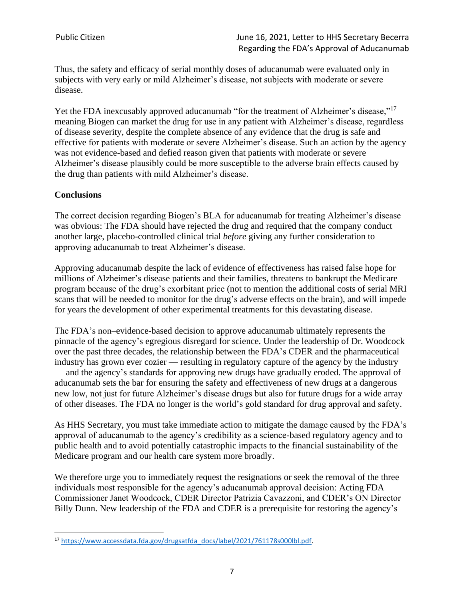Thus, the safety and efficacy of serial monthly doses of aducanumab were evaluated only in subjects with very early or mild Alzheimer's disease, not subjects with moderate or severe disease.

Yet the FDA inexcusably approved aducanumab "for the treatment of Alzheimer's disease,"<sup>17</sup> meaning Biogen can market the drug for use in any patient with Alzheimer's disease, regardless of disease severity, despite the complete absence of any evidence that the drug is safe and effective for patients with moderate or severe Alzheimer's disease. Such an action by the agency was not evidence-based and defied reason given that patients with moderate or severe Alzheimer's disease plausibly could be more susceptible to the adverse brain effects caused by the drug than patients with mild Alzheimer's disease.

### **Conclusions**

The correct decision regarding Biogen's BLA for aducanumab for treating Alzheimer's disease was obvious: The FDA should have rejected the drug and required that the company conduct another large, placebo-controlled clinical trial *before* giving any further consideration to approving aducanumab to treat Alzheimer's disease.

Approving aducanumab despite the lack of evidence of effectiveness has raised false hope for millions of Alzheimer's disease patients and their families, threatens to bankrupt the Medicare program because of the drug's exorbitant price (not to mention the additional costs of serial MRI scans that will be needed to monitor for the drug's adverse effects on the brain), and will impede for years the development of other experimental treatments for this devastating disease.

The FDA's non–evidence-based decision to approve aducanumab ultimately represents the pinnacle of the agency's egregious disregard for science. Under the leadership of Dr. Woodcock over the past three decades, the relationship between the FDA's CDER and the pharmaceutical industry has grown ever cozier — resulting in regulatory capture of the agency by the industry — and the agency's standards for approving new drugs have gradually eroded. The approval of aducanumab sets the bar for ensuring the safety and effectiveness of new drugs at a dangerous new low, not just for future Alzheimer's disease drugs but also for future drugs for a wide array of other diseases. The FDA no longer is the world's gold standard for drug approval and safety.

As HHS Secretary, you must take immediate action to mitigate the damage caused by the FDA's approval of aducanumab to the agency's credibility as a science-based regulatory agency and to public health and to avoid potentially catastrophic impacts to the financial sustainability of the Medicare program and our health care system more broadly.

We therefore urge you to immediately request the resignations or seek the removal of the three individuals most responsible for the agency's aducanumab approval decision: Acting FDA Commissioner Janet Woodcock, CDER Director Patrizia Cavazzoni, and CDER's ON Director Billy Dunn. New leadership of the FDA and CDER is a prerequisite for restoring the agency's

<sup>17</sup> [https://www.accessdata.fda.gov/drugsatfda\\_docs/label/2021/761178s000lbl.pdf.](https://www.accessdata.fda.gov/drugsatfda_docs/label/2021/761178s000lbl.pdf)